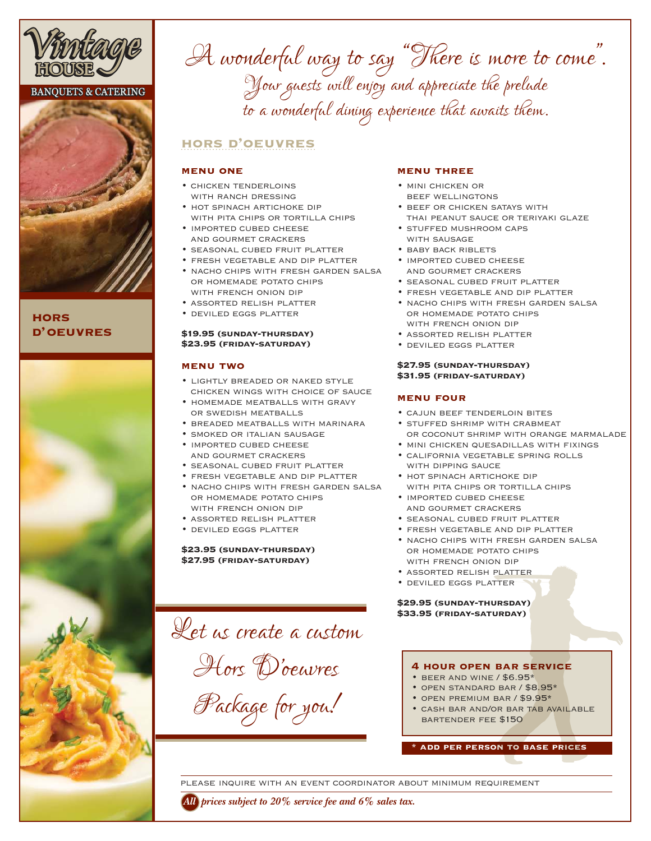

# **BANQUETS & CATERING**



**hors d' oeuvres**



A wonderful way to say "There is more to come". Your guests will enjoy and appreciate the prelude to a wonderful dining experience that awaits them.

# **hors d'oeuvres**

### **menu one**

- chicken tenderloins WITH RANCH DRESSING
- hot spinach artichoke dip WITH PITA CHIPS OR TORTILLA CHIPS
- imported cubed cheese and gourmet crackers
- seasonal cubed fruit platter
- fresh vegetable and dip platter
- nacho chips with fresh garden salsa or homemade potato chips with french onion dip
- assorted relish platter
- deviled eggs platter

## **\$19.95 (sunday-thursday) \$23.95 (friday-saturday)**

### **menu two**

- lightly breaded or naked style chicken wings with choice of sauce
- homemade meatballs with gravy or swedish meatballs
- breaded meatballs with marinara
- smoked or italian sausage
- imported cubed cheese and gourmet crackers
- seasonal cubed fruit platter
- fresh vegetable and dip platter
- nacho chips with fresh garden salsa or homemade potato chips WITH FRENCH ONION DIP
- assorted relish platter
- deviled eggs platter

### **\$23.95 (sunday-thursday) \$27.95 (friday-saturday)**

Let us create a custom Hors D' oeuvres Package for you!

## **menu three**

- mini chicken or beef wellingtons
- beef or chicken satays with thai peanut sauce or teriyaki glaze
- stuffed mushroom caps with sausage
- BABY BACK RIBLETS
- imported cubed cheese and gourmet crackers
- seasonal cubed fruit platter
- fresh vegetable and dip platter
- nacho chips with fresh garden salsa or homemade potato chips WITH FRENCH ONION DIP
- assorted relish platter
- deviled eggs platter

### **\$27.95 (sunday-thursday) \$31.95 (friday-saturday)**

# **menu four**

- cajun beef tenderloin bites
- stuffed shrimp with crabmeat or coconut shrimp with orange marmalade
- MINI CHICKEN QUESADILLAS WITH FIXINGS
- california vegetable spring rolls WITH DIPPING SAUCE
- HOT SPINACH ARTICHOKE DIP WITH PITA CHIPS OR TORTILLA CHIPS
- imported cubed cheese and gourmet crackers
- seasonal cubed fruit platter
- fresh vegetable and dip platter
- nacho chips with fresh garden salsa or homemade potato chips WITH FRENCH ONION DIP
- assorted relish platter
- deviled eggs platter

#### **\$29.95 (sunday-thursday) \$33.95 (friday-saturday)**

# **4 hour open bar service**

- beer and wine / \$6.95\* • open standard bar / \$8.95\*
- open premium bar / \$9.95\*
- 
- cash bar and/or bar tab available bartender fee \$150

**\* add per person to base prices**

please inquire with an event coordinator about minimum requirement

*All prices subject to 20% service fee and 6% sales tax.*